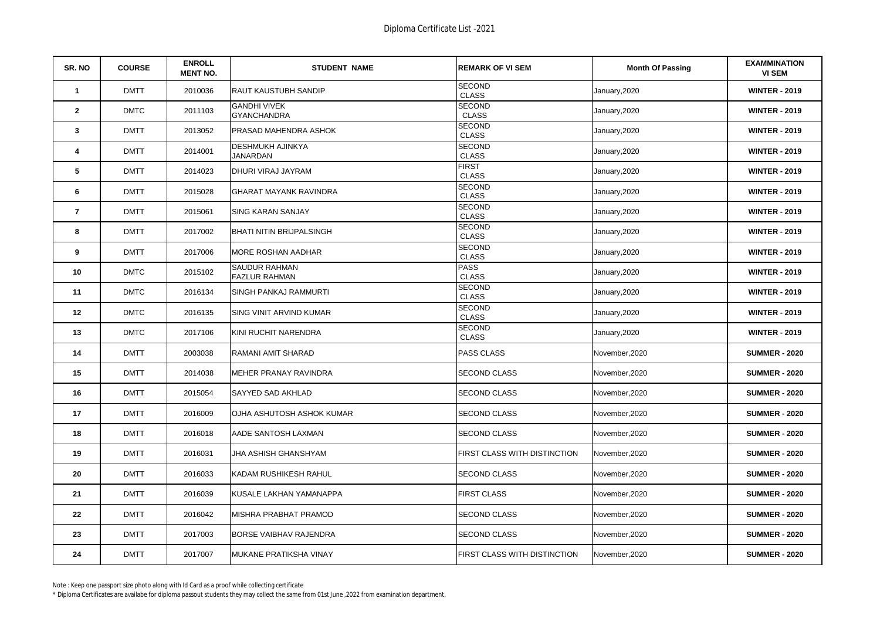| SR. NO                  | <b>COURSE</b> | <b>ENROLL</b><br><b>MENT NO.</b> | <b>STUDENT NAME</b>                          | <b>REMARK OF VI SEM</b>       | <b>Month Of Passing</b> | <b>EXAMMINATION</b><br><b>VI SEM</b> |
|-------------------------|---------------|----------------------------------|----------------------------------------------|-------------------------------|-------------------------|--------------------------------------|
| $\overline{1}$          | <b>DMTT</b>   | 2010036                          | <b>RAUT KAUSTUBH SANDIP</b>                  | <b>SECOND</b><br><b>CLASS</b> | January, 2020           | <b>WINTER - 2019</b>                 |
| $\mathbf{2}$            | <b>DMTC</b>   | 2011103                          | <b>GANDHI VIVEK</b><br><b>GYANCHANDRA</b>    | <b>SECOND</b><br><b>CLASS</b> | January, 2020           | <b>WINTER - 2019</b>                 |
| 3                       | <b>DMTT</b>   | 2013052                          | PRASAD MAHENDRA ASHOK                        | <b>SECOND</b><br><b>CLASS</b> | January, 2020           | <b>WINTER - 2019</b>                 |
| $\overline{\mathbf{4}}$ | <b>DMTT</b>   | 2014001                          | <b>DESHMUKH AJINKYA</b><br><b>JANARDAN</b>   | <b>SECOND</b><br><b>CLASS</b> | January, 2020           | <b>WINTER - 2019</b>                 |
| 5                       | <b>DMTT</b>   | 2014023                          | DHURI VIRAJ JAYRAM                           | <b>FIRST</b><br><b>CLASS</b>  | January, 2020           | <b>WINTER - 2019</b>                 |
| 6                       | <b>DMTT</b>   | 2015028                          | <b>GHARAT MAYANK RAVINDRA</b>                | <b>SECOND</b><br><b>CLASS</b> | January, 2020           | <b>WINTER - 2019</b>                 |
| $\overline{7}$          | <b>DMTT</b>   | 2015061                          | <b>SING KARAN SANJAY</b>                     | <b>SECOND</b><br><b>CLASS</b> | January, 2020           | <b>WINTER - 2019</b>                 |
| 8                       | <b>DMTT</b>   | 2017002                          | <b>BHATI NITIN BRIJPALSINGH</b>              | <b>SECOND</b><br><b>CLASS</b> | January, 2020           | <b>WINTER - 2019</b>                 |
| 9                       | <b>DMTT</b>   | 2017006                          | <b>MORE ROSHAN AADHAR</b>                    | <b>SECOND</b><br><b>CLASS</b> | January,2020            | <b>WINTER - 2019</b>                 |
| 10                      | <b>DMTC</b>   | 2015102                          | <b>SAUDUR RAHMAN</b><br><b>FAZLUR RAHMAN</b> | <b>PASS</b><br><b>CLASS</b>   | January, 2020           | <b>WINTER - 2019</b>                 |
| 11                      | <b>DMTC</b>   | 2016134                          | SINGH PANKAJ RAMMURTI                        | <b>SECOND</b><br><b>CLASS</b> | January, 2020           | <b>WINTER - 2019</b>                 |
| 12                      | <b>DMTC</b>   | 2016135                          | SING VINIT ARVIND KUMAR                      | <b>SECOND</b><br><b>CLASS</b> | January, 2020           | <b>WINTER - 2019</b>                 |
| 13                      | <b>DMTC</b>   | 2017106                          | KINI RUCHIT NARENDRA                         | <b>SECOND</b><br><b>CLASS</b> | January, 2020           | <b>WINTER - 2019</b>                 |
| 14                      | <b>DMTT</b>   | 2003038                          | RAMANI AMIT SHARAD                           | <b>PASS CLASS</b>             | November, 2020          | <b>SUMMER - 2020</b>                 |
| 15                      | <b>DMTT</b>   | 2014038                          | MEHER PRANAY RAVINDRA                        | <b>SECOND CLASS</b>           | November, 2020          | <b>SUMMER - 2020</b>                 |
| 16                      | <b>DMTT</b>   | 2015054                          | SAYYED SAD AKHLAD                            | <b>SECOND CLASS</b>           | November, 2020          | <b>SUMMER - 2020</b>                 |
| 17                      | <b>DMTT</b>   | 2016009                          | OJHA ASHUTOSH ASHOK KUMAR                    | <b>SECOND CLASS</b>           | November.2020           | <b>SUMMER - 2020</b>                 |
| 18                      | <b>DMTT</b>   | 2016018                          | AADE SANTOSH LAXMAN                          | <b>SECOND CLASS</b>           | November, 2020          | <b>SUMMER - 2020</b>                 |
| 19                      | <b>DMTT</b>   | 2016031                          | JHA ASHISH GHANSHYAM                         | FIRST CLASS WITH DISTINCTION  | November, 2020          | <b>SUMMER - 2020</b>                 |
| 20                      | <b>DMTT</b>   | 2016033                          | KADAM RUSHIKESH RAHUL                        | <b>SECOND CLASS</b>           | November, 2020          | <b>SUMMER - 2020</b>                 |
| 21                      | <b>DMTT</b>   | 2016039                          | KUSALE LAKHAN YAMANAPPA                      | <b>FIRST CLASS</b>            | November, 2020          | <b>SUMMER - 2020</b>                 |
| 22                      | <b>DMTT</b>   | 2016042                          | MISHRA PRABHAT PRAMOD                        | <b>SECOND CLASS</b>           | November, 2020          | <b>SUMMER - 2020</b>                 |
| 23                      | <b>DMTT</b>   | 2017003                          | <b>BORSE VAIBHAV RAJENDRA</b>                | <b>SECOND CLASS</b>           | November, 2020          | <b>SUMMER - 2020</b>                 |
| 24                      | <b>DMTT</b>   | 2017007                          | MUKANE PRATIKSHA VINAY                       | FIRST CLASS WITH DISTINCTION  | November, 2020          | <b>SUMMER - 2020</b>                 |

\* Diploma Certificates are availabe for diploma passout students they may collect the same from 01st June ,2022 from examination department.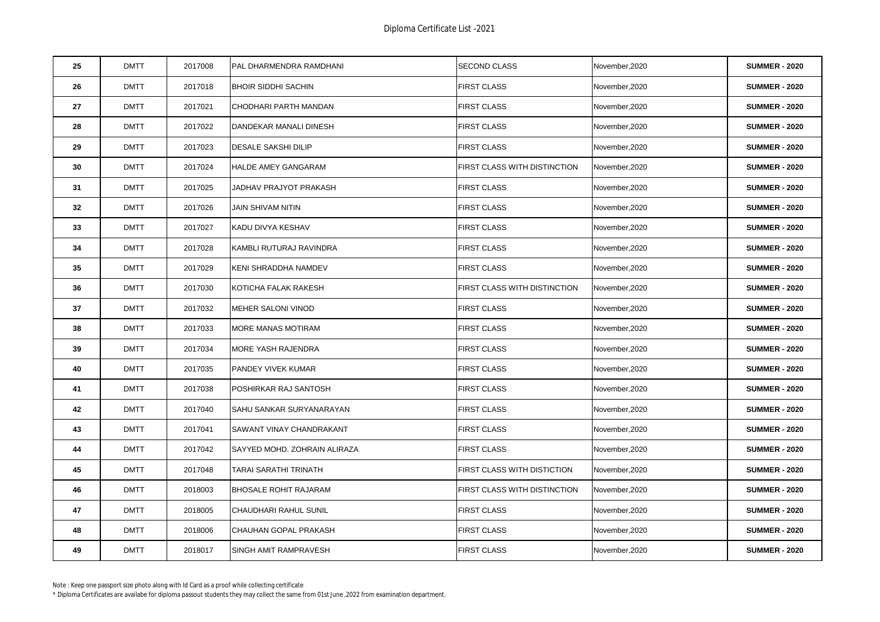| 25 | <b>DMTT</b> | 2017008 | PAL DHARMENDRA RAMDHANI      | <b>SECOND CLASS</b>          | November, 2020 | <b>SUMMER - 2020</b> |
|----|-------------|---------|------------------------------|------------------------------|----------------|----------------------|
| 26 | <b>DMTT</b> | 2017018 | <b>BHOIR SIDDHI SACHIN</b>   | <b>FIRST CLASS</b>           | November, 2020 | <b>SUMMER - 2020</b> |
| 27 | <b>DMTT</b> | 2017021 | CHODHARI PARTH MANDAN        | <b>FIRST CLASS</b>           | November, 2020 | <b>SUMMER - 2020</b> |
| 28 | <b>DMTT</b> | 2017022 | DANDEKAR MANALI DINESH       | <b>FIRST CLASS</b>           | November, 2020 | <b>SUMMER - 2020</b> |
| 29 | <b>DMTT</b> | 2017023 | <b>DESALE SAKSHI DILIP</b>   | <b>FIRST CLASS</b>           | November, 2020 | <b>SUMMER - 2020</b> |
| 30 | <b>DMTT</b> | 2017024 | <b>HALDE AMEY GANGARAM</b>   | FIRST CLASS WITH DISTINCTION | November, 2020 | <b>SUMMER - 2020</b> |
| 31 | <b>DMTT</b> | 2017025 | JADHAV PRAJYOT PRAKASH       | <b>FIRST CLASS</b>           | November, 2020 | <b>SUMMER - 2020</b> |
| 32 | <b>DMTT</b> | 2017026 | JAIN SHIVAM NITIN            | <b>FIRST CLASS</b>           | November, 2020 | <b>SUMMER - 2020</b> |
| 33 | <b>DMTT</b> | 2017027 | KADU DIVYA KESHAV            | <b>FIRST CLASS</b>           | November, 2020 | <b>SUMMER - 2020</b> |
| 34 | <b>DMTT</b> | 2017028 | KAMBLI RUTURAJ RAVINDRA      | <b>FIRST CLASS</b>           | November, 2020 | <b>SUMMER - 2020</b> |
| 35 | <b>DMTT</b> | 2017029 | KENI SHRADDHA NAMDEV         | <b>FIRST CLASS</b>           | November, 2020 | <b>SUMMER - 2020</b> |
| 36 | <b>DMTT</b> | 2017030 | KOTICHA FALAK RAKESH         | FIRST CLASS WITH DISTINCTION | November, 2020 | <b>SUMMER - 2020</b> |
| 37 | <b>DMTT</b> | 2017032 | MEHER SALONI VINOD           | <b>FIRST CLASS</b>           | November, 2020 | <b>SUMMER - 2020</b> |
| 38 | <b>DMTT</b> | 2017033 | MORE MANAS MOTIRAM           | <b>FIRST CLASS</b>           | November, 2020 | <b>SUMMER - 2020</b> |
| 39 | <b>DMTT</b> | 2017034 | <b>MORE YASH RAJENDRA</b>    | <b>FIRST CLASS</b>           | November, 2020 | <b>SUMMER - 2020</b> |
| 40 | <b>DMTT</b> | 2017035 | PANDEY VIVEK KUMAR           | <b>FIRST CLASS</b>           | November, 2020 | <b>SUMMER - 2020</b> |
| 41 | <b>DMTT</b> | 2017038 | POSHIRKAR RAJ SANTOSH        | <b>FIRST CLASS</b>           | November, 2020 | <b>SUMMER - 2020</b> |
| 42 | <b>DMTT</b> | 2017040 | SAHU SANKAR SURYANARAYAN     | <b>FIRST CLASS</b>           | November, 2020 | <b>SUMMER - 2020</b> |
| 43 | <b>DMTT</b> | 2017041 | SAWANT VINAY CHANDRAKANT     | FIRST CLASS                  | November, 2020 | <b>SUMMER - 2020</b> |
| 44 | <b>DMTT</b> | 2017042 | SAYYED MOHD. ZOHRAIN ALIRAZA | <b>FIRST CLASS</b>           | November, 2020 | <b>SUMMER - 2020</b> |
| 45 | <b>DMTT</b> | 2017048 | TARAI SARATHI TRINATH        | FIRST CLASS WITH DISTICTION  | November, 2020 | <b>SUMMER - 2020</b> |
| 46 | <b>DMTT</b> | 2018003 | <b>BHOSALE ROHIT RAJARAM</b> | FIRST CLASS WITH DISTINCTION | November, 2020 | <b>SUMMER - 2020</b> |
| 47 | <b>DMTT</b> | 2018005 | CHAUDHARI RAHUL SUNIL        | <b>FIRST CLASS</b>           | November, 2020 | <b>SUMMER - 2020</b> |
| 48 | <b>DMTT</b> | 2018006 | CHAUHAN GOPAL PRAKASH        | <b>FIRST CLASS</b>           | November, 2020 | <b>SUMMER - 2020</b> |
| 49 | <b>DMTT</b> | 2018017 | SINGH AMIT RAMPRAVESH        | <b>FIRST CLASS</b>           | November, 2020 | <b>SUMMER - 2020</b> |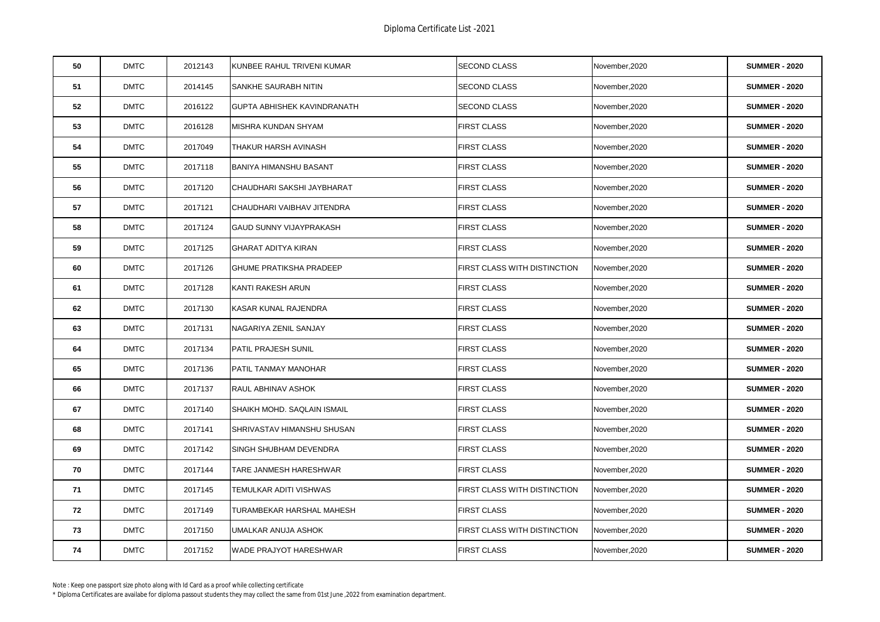| 50 | <b>DMTC</b> | 2012143 | KUNBEE RAHUL TRIVENI KUMAR         | <b>SECOND CLASS</b>          | November, 2020 | <b>SUMMER - 2020</b> |
|----|-------------|---------|------------------------------------|------------------------------|----------------|----------------------|
| 51 | <b>DMTC</b> | 2014145 | SANKHE SAURABH NITIN               | <b>SECOND CLASS</b>          | November, 2020 | <b>SUMMER - 2020</b> |
| 52 | <b>DMTC</b> | 2016122 | <b>GUPTA ABHISHEK KAVINDRANATH</b> | <b>SECOND CLASS</b>          | November, 2020 | <b>SUMMER - 2020</b> |
| 53 | <b>DMTC</b> | 2016128 | MISHRA KUNDAN SHYAM                | <b>FIRST CLASS</b>           | November, 2020 | <b>SUMMER - 2020</b> |
| 54 | <b>DMTC</b> | 2017049 | THAKUR HARSH AVINASH               | <b>FIRST CLASS</b>           | November, 2020 | <b>SUMMER - 2020</b> |
| 55 | <b>DMTC</b> | 2017118 | <b>BANIYA HIMANSHU BASANT</b>      | <b>FIRST CLASS</b>           | November, 2020 | <b>SUMMER - 2020</b> |
| 56 | <b>DMTC</b> | 2017120 | CHAUDHARI SAKSHI JAYBHARAT         | <b>FIRST CLASS</b>           | November, 2020 | <b>SUMMER - 2020</b> |
| 57 | <b>DMTC</b> | 2017121 | CHAUDHARI VAIBHAV JITENDRA         | <b>FIRST CLASS</b>           | November, 2020 | <b>SUMMER - 2020</b> |
| 58 | <b>DMTC</b> | 2017124 | <b>GAUD SUNNY VIJAYPRAKASH</b>     | <b>FIRST CLASS</b>           | November, 2020 | <b>SUMMER - 2020</b> |
| 59 | <b>DMTC</b> | 2017125 | <b>GHARAT ADITYA KIRAN</b>         | <b>FIRST CLASS</b>           | November, 2020 | <b>SUMMER - 2020</b> |
| 60 | <b>DMTC</b> | 2017126 | <b>GHUME PRATIKSHA PRADEEP</b>     | FIRST CLASS WITH DISTINCTION | November, 2020 | <b>SUMMER - 2020</b> |
| 61 | <b>DMTC</b> | 2017128 | KANTI RAKESH ARUN                  | <b>FIRST CLASS</b>           | November, 2020 | <b>SUMMER - 2020</b> |
| 62 | <b>DMTC</b> | 2017130 | KASAR KUNAL RAJENDRA               | FIRST CLASS                  | November, 2020 | <b>SUMMER - 2020</b> |
| 63 | <b>DMTC</b> | 2017131 | NAGARIYA ZENIL SANJAY              | <b>FIRST CLASS</b>           | November, 2020 | <b>SUMMER - 2020</b> |
| 64 | <b>DMTC</b> | 2017134 | PATIL PRAJESH SUNIL                | <b>FIRST CLASS</b>           | November, 2020 | <b>SUMMER - 2020</b> |
| 65 | <b>DMTC</b> | 2017136 | PATIL TANMAY MANOHAR               | <b>FIRST CLASS</b>           | November, 2020 | <b>SUMMER - 2020</b> |
| 66 | <b>DMTC</b> | 2017137 | RAUL ABHINAV ASHOK                 | <b>FIRST CLASS</b>           | November, 2020 | <b>SUMMER - 2020</b> |
| 67 | <b>DMTC</b> | 2017140 | SHAIKH MOHD. SAQLAIN ISMAIL        | <b>FIRST CLASS</b>           | November, 2020 | <b>SUMMER - 2020</b> |
| 68 | <b>DMTC</b> | 2017141 | SHRIVASTAV HIMANSHU SHUSAN         | <b>FIRST CLASS</b>           | November, 2020 | <b>SUMMER - 2020</b> |
| 69 | <b>DMTC</b> | 2017142 | SINGH SHUBHAM DEVENDRA             | <b>FIRST CLASS</b>           | November, 2020 | <b>SUMMER - 2020</b> |
| 70 | <b>DMTC</b> | 2017144 | TARE JANMESH HARESHWAR             | <b>FIRST CLASS</b>           | November, 2020 | <b>SUMMER - 2020</b> |
| 71 | <b>DMTC</b> | 2017145 | TEMULKAR ADITI VISHWAS             | FIRST CLASS WITH DISTINCTION | November,2020  | <b>SUMMER - 2020</b> |
| 72 | <b>DMTC</b> | 2017149 | TURAMBEKAR HARSHAL MAHESH          | <b>FIRST CLASS</b>           | November, 2020 | <b>SUMMER - 2020</b> |
| 73 | <b>DMTC</b> | 2017150 | UMALKAR ANUJA ASHOK                | FIRST CLASS WITH DISTINCTION | November, 2020 | <b>SUMMER - 2020</b> |
| 74 | <b>DMTC</b> | 2017152 | <b>WADE PRAJYOT HARESHWAR</b>      | <b>FIRST CLASS</b>           | November, 2020 | <b>SUMMER - 2020</b> |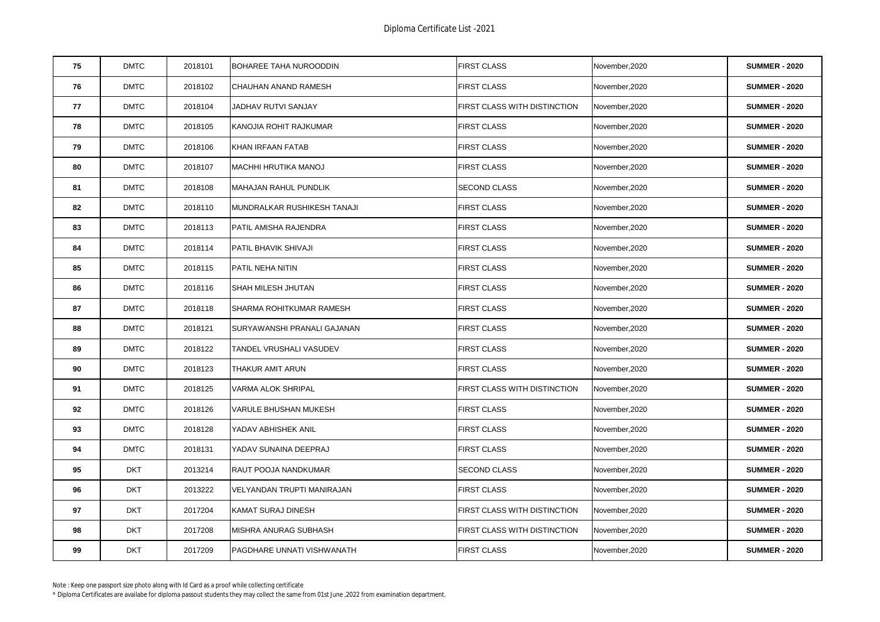| 75 | <b>DMTC</b> | 2018101 | BOHAREE TAHA NUROODDIN      | <b>FIRST CLASS</b>           | November, 2020 | <b>SUMMER - 2020</b> |
|----|-------------|---------|-----------------------------|------------------------------|----------------|----------------------|
| 76 | <b>DMTC</b> | 2018102 | CHAUHAN ANAND RAMESH        | <b>FIRST CLASS</b>           | November, 2020 | <b>SUMMER - 2020</b> |
| 77 | <b>DMTC</b> | 2018104 | JADHAV RUTVI SANJAY         | FIRST CLASS WITH DISTINCTION | November, 2020 | <b>SUMMER - 2020</b> |
| 78 | <b>DMTC</b> | 2018105 | KANOJIA ROHIT RAJKUMAR      | <b>FIRST CLASS</b>           | November, 2020 | <b>SUMMER - 2020</b> |
| 79 | <b>DMTC</b> | 2018106 | KHAN IRFAAN FATAB           | <b>FIRST CLASS</b>           | November, 2020 | <b>SUMMER - 2020</b> |
| 80 | <b>DMTC</b> | 2018107 | <b>MACHHI HRUTIKA MANOJ</b> | <b>FIRST CLASS</b>           | November, 2020 | <b>SUMMER - 2020</b> |
| 81 | <b>DMTC</b> | 2018108 | MAHAJAN RAHUL PUNDLIK       | <b>SECOND CLASS</b>          | November, 2020 | <b>SUMMER - 2020</b> |
| 82 | <b>DMTC</b> | 2018110 | MUNDRALKAR RUSHIKESH TANAJI | <b>FIRST CLASS</b>           | November, 2020 | <b>SUMMER - 2020</b> |
| 83 | <b>DMTC</b> | 2018113 | PATIL AMISHA RAJENDRA       | <b>FIRST CLASS</b>           | November, 2020 | <b>SUMMER - 2020</b> |
| 84 | <b>DMTC</b> | 2018114 | PATIL BHAVIK SHIVAJI        | <b>FIRST CLASS</b>           | November, 2020 | <b>SUMMER - 2020</b> |
| 85 | <b>DMTC</b> | 2018115 | PATIL NEHA NITIN            | <b>FIRST CLASS</b>           | November, 2020 | <b>SUMMER - 2020</b> |
| 86 | <b>DMTC</b> | 2018116 | SHAH MILESH JHUTAN          | <b>FIRST CLASS</b>           | November, 2020 | <b>SUMMER - 2020</b> |
| 87 | <b>DMTC</b> | 2018118 | SHARMA ROHITKUMAR RAMESH    | FIRST CLASS                  | November, 2020 | <b>SUMMER - 2020</b> |
| 88 | <b>DMTC</b> | 2018121 | SURYAWANSHI PRANALI GAJANAN | <b>FIRST CLASS</b>           | November, 2020 | <b>SUMMER - 2020</b> |
| 89 | <b>DMTC</b> | 2018122 | TANDEL VRUSHALI VASUDEV     | <b>FIRST CLASS</b>           | November, 2020 | <b>SUMMER - 2020</b> |
| 90 | <b>DMTC</b> | 2018123 | THAKUR AMIT ARUN            | <b>FIRST CLASS</b>           | November,2020  | <b>SUMMER - 2020</b> |
| 91 | <b>DMTC</b> | 2018125 | VARMA ALOK SHRIPAL          | FIRST CLASS WITH DISTINCTION | November, 2020 | <b>SUMMER - 2020</b> |
| 92 | <b>DMTC</b> | 2018126 | VARULE BHUSHAN MUKESH       | <b>FIRST CLASS</b>           | November, 2020 | <b>SUMMER - 2020</b> |
| 93 | <b>DMTC</b> | 2018128 | YADAV ABHISHEK ANIL         | <b>FIRST CLASS</b>           | November, 2020 | <b>SUMMER - 2020</b> |
| 94 | <b>DMTC</b> | 2018131 | YADAV SUNAINA DEEPRAJ       | <b>FIRST CLASS</b>           | November, 2020 | <b>SUMMER - 2020</b> |
| 95 | <b>DKT</b>  | 2013214 | RAUT POOJA NANDKUMAR        | <b>SECOND CLASS</b>          | November, 2020 | <b>SUMMER - 2020</b> |
| 96 | <b>DKT</b>  | 2013222 | VELYANDAN TRUPTI MANIRAJAN  | <b>FIRST CLASS</b>           | November, 2020 | <b>SUMMER - 2020</b> |
| 97 | <b>DKT</b>  | 2017204 | KAMAT SURAJ DINESH          | FIRST CLASS WITH DISTINCTION | November, 2020 | <b>SUMMER - 2020</b> |
| 98 | <b>DKT</b>  | 2017208 | MISHRA ANURAG SUBHASH       | FIRST CLASS WITH DISTINCTION | November, 2020 | <b>SUMMER - 2020</b> |
| 99 | <b>DKT</b>  | 2017209 | PAGDHARE UNNATI VISHWANATH  | <b>FIRST CLASS</b>           | November, 2020 | <b>SUMMER - 2020</b> |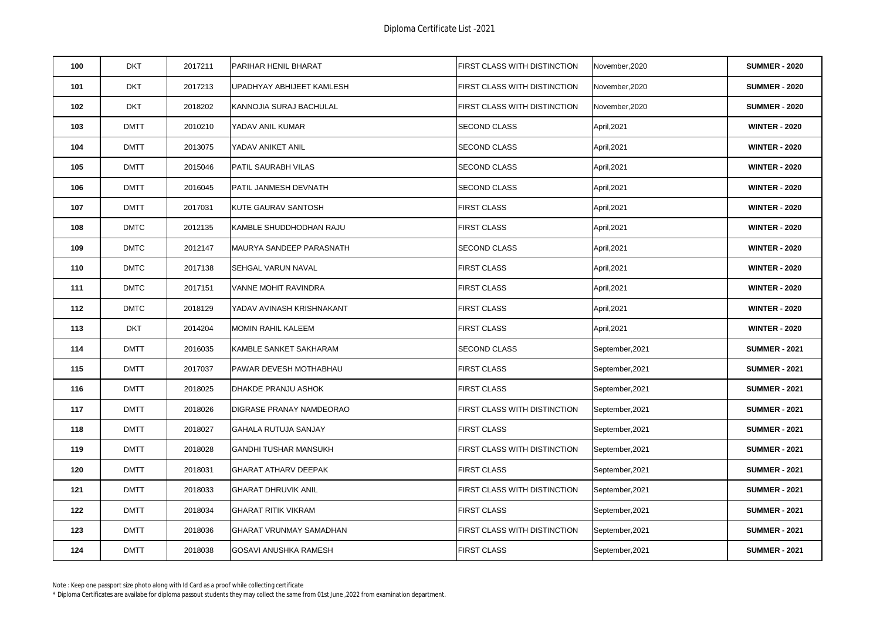| 100 | <b>DKT</b>  | 2017211 | PARIHAR HENIL BHARAT           | FIRST CLASS WITH DISTINCTION        | November, 2020  | <b>SUMMER - 2020</b> |
|-----|-------------|---------|--------------------------------|-------------------------------------|-----------------|----------------------|
| 101 | <b>DKT</b>  | 2017213 | UPADHYAY ABHIJEET KAMLESH      | FIRST CLASS WITH DISTINCTION        | November, 2020  | <b>SUMMER - 2020</b> |
| 102 | <b>DKT</b>  | 2018202 | KANNOJIA SURAJ BACHULAL        | <b>FIRST CLASS WITH DISTINCTION</b> | November, 2020  | <b>SUMMER - 2020</b> |
| 103 | <b>DMTT</b> | 2010210 | YADAV ANIL KUMAR               | <b>SECOND CLASS</b>                 | April, 2021     | <b>WINTER - 2020</b> |
| 104 | <b>DMTT</b> | 2013075 | YADAV ANIKET ANIL              | <b>SECOND CLASS</b>                 | April, 2021     | <b>WINTER - 2020</b> |
| 105 | <b>DMTT</b> | 2015046 | PATIL SAURABH VILAS            | <b>SECOND CLASS</b>                 | April, 2021     | <b>WINTER - 2020</b> |
| 106 | <b>DMTT</b> | 2016045 | PATIL JANMESH DEVNATH          | <b>SECOND CLASS</b>                 | April, 2021     | <b>WINTER - 2020</b> |
| 107 | <b>DMTT</b> | 2017031 | KUTE GAURAV SANTOSH            | <b>FIRST CLASS</b>                  | April, 2021     | <b>WINTER - 2020</b> |
| 108 | <b>DMTC</b> | 2012135 | KAMBLE SHUDDHODHAN RAJU        | <b>FIRST CLASS</b>                  | April, 2021     | <b>WINTER - 2020</b> |
| 109 | <b>DMTC</b> | 2012147 | MAURYA SANDEEP PARASNATH       | <b>SECOND CLASS</b>                 | April, 2021     | <b>WINTER - 2020</b> |
| 110 | <b>DMTC</b> | 2017138 | SEHGAL VARUN NAVAL             | <b>FIRST CLASS</b>                  | April, 2021     | <b>WINTER - 2020</b> |
| 111 | <b>DMTC</b> | 2017151 | <b>VANNE MOHIT RAVINDRA</b>    | <b>FIRST CLASS</b>                  | April, 2021     | <b>WINTER - 2020</b> |
| 112 | <b>DMTC</b> | 2018129 | YADAV AVINASH KRISHNAKANT      | <b>FIRST CLASS</b>                  | April, 2021     | <b>WINTER - 2020</b> |
| 113 | <b>DKT</b>  | 2014204 | <b>MOMIN RAHIL KALEEM</b>      | <b>FIRST CLASS</b>                  | April, 2021     | <b>WINTER - 2020</b> |
| 114 | <b>DMTT</b> | 2016035 | KAMBLE SANKET SAKHARAM         | <b>SECOND CLASS</b>                 | September, 2021 | <b>SUMMER - 2021</b> |
| 115 | <b>DMTT</b> | 2017037 | PAWAR DEVESH MOTHABHAU         | <b>FIRST CLASS</b>                  | September,2021  | <b>SUMMER - 2021</b> |
| 116 | <b>DMTT</b> | 2018025 | DHAKDE PRANJU ASHOK            | <b>FIRST CLASS</b>                  | September, 2021 | <b>SUMMER - 2021</b> |
| 117 | <b>DMTT</b> | 2018026 | DIGRASE PRANAY NAMDEORAO       | FIRST CLASS WITH DISTINCTION        | September, 2021 | <b>SUMMER - 2021</b> |
| 118 | <b>DMTT</b> | 2018027 | GAHALA RUTUJA SANJAY           | <b>FIRST CLASS</b>                  | September, 2021 | <b>SUMMER - 2021</b> |
| 119 | <b>DMTT</b> | 2018028 | <b>GANDHI TUSHAR MANSUKH</b>   | FIRST CLASS WITH DISTINCTION        | September, 2021 | <b>SUMMER - 2021</b> |
| 120 | <b>DMTT</b> | 2018031 | <b>GHARAT ATHARV DEEPAK</b>    | FIRST CLASS                         | September, 2021 | <b>SUMMER - 2021</b> |
| 121 | <b>DMTT</b> | 2018033 | <b>GHARAT DHRUVIK ANIL</b>     | FIRST CLASS WITH DISTINCTION        | September, 2021 | <b>SUMMER - 2021</b> |
| 122 | <b>DMTT</b> | 2018034 | <b>GHARAT RITIK VIKRAM</b>     | FIRST CLASS                         | September, 2021 | <b>SUMMER - 2021</b> |
| 123 | <b>DMTT</b> | 2018036 | <b>GHARAT VRUNMAY SAMADHAN</b> | FIRST CLASS WITH DISTINCTION        | September,2021  | <b>SUMMER - 2021</b> |
| 124 | <b>DMTT</b> | 2018038 | <b>GOSAVI ANUSHKA RAMESH</b>   | <b>FIRST CLASS</b>                  | September, 2021 | <b>SUMMER - 2021</b> |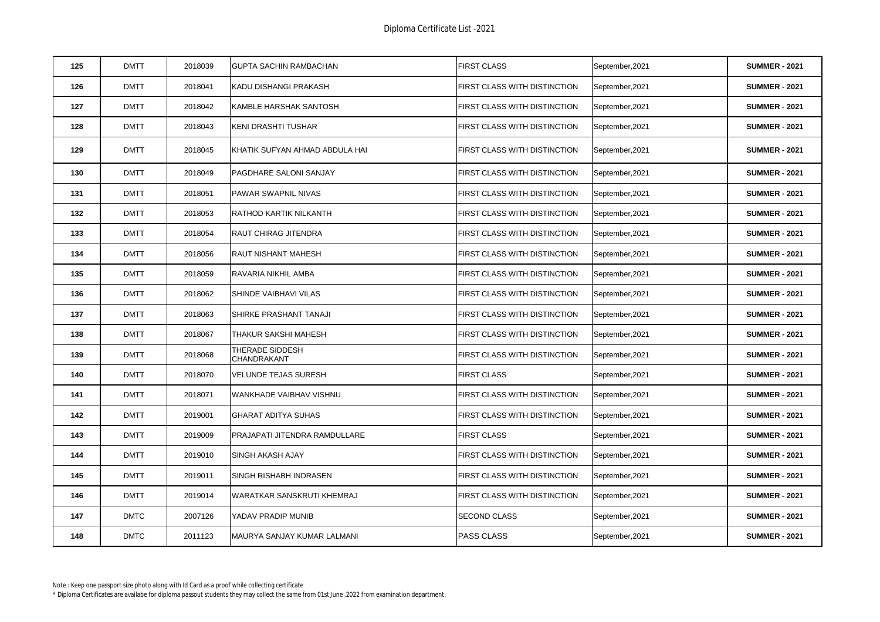| 125 | <b>DMTT</b> | 2018039 | <b>GUPTA SACHIN RAMBACHAN</b>  | <b>FIRST CLASS</b>                  | September, 2021 | <b>SUMMER - 2021</b> |
|-----|-------------|---------|--------------------------------|-------------------------------------|-----------------|----------------------|
| 126 | <b>DMTT</b> | 2018041 | KADU DISHANGI PRAKASH          | FIRST CLASS WITH DISTINCTION        | September, 2021 | <b>SUMMER - 2021</b> |
| 127 | <b>DMTT</b> | 2018042 | KAMBLE HARSHAK SANTOSH         | FIRST CLASS WITH DISTINCTION        | September, 2021 | <b>SUMMER - 2021</b> |
| 128 | <b>DMTT</b> | 2018043 | KENI DRASHTI TUSHAR            | FIRST CLASS WITH DISTINCTION        | September, 2021 | <b>SUMMER - 2021</b> |
| 129 | <b>DMTT</b> | 2018045 | KHATIK SUFYAN AHMAD ABDULA HAI | FIRST CLASS WITH DISTINCTION        | September, 2021 | <b>SUMMER - 2021</b> |
| 130 | <b>DMTT</b> | 2018049 | PAGDHARE SALONI SANJAY         | FIRST CLASS WITH DISTINCTION        | September, 2021 | <b>SUMMER - 2021</b> |
| 131 | <b>DMTT</b> | 2018051 | PAWAR SWAPNIL NIVAS            | <b>FIRST CLASS WITH DISTINCTION</b> | September, 2021 | <b>SUMMER - 2021</b> |
| 132 | <b>DMTT</b> | 2018053 | RATHOD KARTIK NILKANTH         | <b>FIRST CLASS WITH DISTINCTION</b> | September, 2021 | <b>SUMMER - 2021</b> |
| 133 | <b>DMTT</b> | 2018054 | RAUT CHIRAG JITENDRA           | FIRST CLASS WITH DISTINCTION        | September, 2021 | <b>SUMMER - 2021</b> |
| 134 | <b>DMTT</b> | 2018056 | RAUT NISHANT MAHESH            | FIRST CLASS WITH DISTINCTION        | September, 2021 | <b>SUMMER - 2021</b> |
| 135 | <b>DMTT</b> | 2018059 | RAVARIA NIKHIL AMBA            | FIRST CLASS WITH DISTINCTION        | September, 2021 | <b>SUMMER - 2021</b> |
| 136 | <b>DMTT</b> | 2018062 | SHINDE VAIBHAVI VILAS          | FIRST CLASS WITH DISTINCTION        | September, 2021 | <b>SUMMER - 2021</b> |
| 137 | <b>DMTT</b> | 2018063 | SHIRKE PRASHANT TANAJI         | FIRST CLASS WITH DISTINCTION        | September, 2021 | <b>SUMMER - 2021</b> |
| 138 | <b>DMTT</b> | 2018067 | THAKUR SAKSHI MAHESH           | <b>FIRST CLASS WITH DISTINCTION</b> | September, 2021 | <b>SUMMER - 2021</b> |
| 139 | <b>DMTT</b> | 2018068 | THERADE SIDDESH<br>CHANDRAKANT | FIRST CLASS WITH DISTINCTION        | September, 2021 | <b>SUMMER - 2021</b> |
| 140 | <b>DMTT</b> | 2018070 | VELUNDE TEJAS SURESH           | <b>FIRST CLASS</b>                  | September, 2021 | <b>SUMMER - 2021</b> |
| 141 | <b>DMTT</b> | 2018071 | WANKHADE VAIBHAV VISHNU        | FIRST CLASS WITH DISTINCTION        | September, 2021 | <b>SUMMER - 2021</b> |
| 142 | <b>DMTT</b> | 2019001 | <b>GHARAT ADITYA SUHAS</b>     | FIRST CLASS WITH DISTINCTION        | September, 2021 | <b>SUMMER - 2021</b> |
| 143 | <b>DMTT</b> | 2019009 | PRAJAPATI JITENDRA RAMDULLARE  | <b>FIRST CLASS</b>                  | September, 2021 | <b>SUMMER - 2021</b> |
| 144 | <b>DMTT</b> | 2019010 | SINGH AKASH AJAY               | FIRST CLASS WITH DISTINCTION        | September, 2021 | <b>SUMMER - 2021</b> |
| 145 | <b>DMTT</b> | 2019011 | SINGH RISHABH INDRASEN         | FIRST CLASS WITH DISTINCTION        | September, 2021 | <b>SUMMER - 2021</b> |
| 146 | <b>DMTT</b> | 2019014 | WARATKAR SANSKRUTI KHEMRAJ     | FIRST CLASS WITH DISTINCTION        | September, 2021 | <b>SUMMER - 2021</b> |
| 147 | <b>DMTC</b> | 2007126 | YADAV PRADIP MUNIB             | <b>SECOND CLASS</b>                 | September, 2021 | <b>SUMMER - 2021</b> |
| 148 | <b>DMTC</b> | 2011123 | MAURYA SANJAY KUMAR LALMANI    | <b>PASS CLASS</b>                   | September, 2021 | <b>SUMMER - 2021</b> |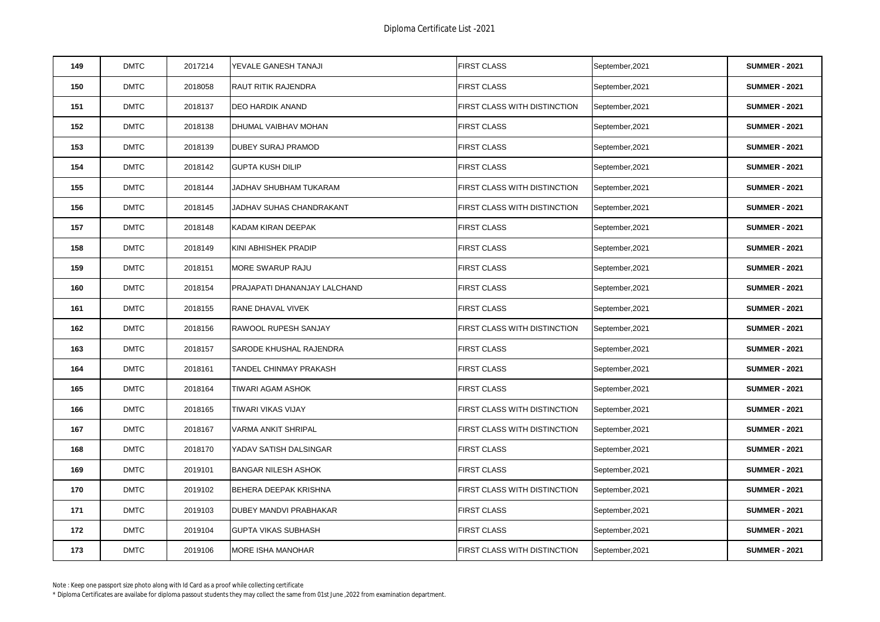| 149 | <b>DMTC</b> | 2017214 | YEVALE GANESH TANAJI         | <b>FIRST CLASS</b>           | September, 2021 | <b>SUMMER - 2021</b> |
|-----|-------------|---------|------------------------------|------------------------------|-----------------|----------------------|
| 150 | <b>DMTC</b> | 2018058 | RAUT RITIK RAJENDRA          | <b>FIRST CLASS</b>           | September, 2021 | <b>SUMMER - 2021</b> |
| 151 | <b>DMTC</b> | 2018137 | <b>DEO HARDIK ANAND</b>      | FIRST CLASS WITH DISTINCTION | September,2021  | <b>SUMMER - 2021</b> |
| 152 | <b>DMTC</b> | 2018138 | DHUMAL VAIBHAV MOHAN         | <b>FIRST CLASS</b>           | September, 2021 | <b>SUMMER - 2021</b> |
| 153 | <b>DMTC</b> | 2018139 | <b>DUBEY SURAJ PRAMOD</b>    | <b>FIRST CLASS</b>           | September, 2021 | <b>SUMMER - 2021</b> |
| 154 | <b>DMTC</b> | 2018142 | <b>GUPTA KUSH DILIP</b>      | <b>FIRST CLASS</b>           | September, 2021 | <b>SUMMER - 2021</b> |
| 155 | <b>DMTC</b> | 2018144 | JADHAV SHUBHAM TUKARAM       | FIRST CLASS WITH DISTINCTION | September, 2021 | <b>SUMMER - 2021</b> |
| 156 | <b>DMTC</b> | 2018145 | JADHAV SUHAS CHANDRAKANT     | FIRST CLASS WITH DISTINCTION | September, 2021 | <b>SUMMER - 2021</b> |
| 157 | <b>DMTC</b> | 2018148 | KADAM KIRAN DEEPAK           | <b>FIRST CLASS</b>           | September, 2021 | <b>SUMMER - 2021</b> |
| 158 | <b>DMTC</b> | 2018149 | KINI ABHISHEK PRADIP         | <b>FIRST CLASS</b>           | September, 2021 | <b>SUMMER - 2021</b> |
| 159 | <b>DMTC</b> | 2018151 | MORE SWARUP RAJU             | <b>FIRST CLASS</b>           | September, 2021 | <b>SUMMER - 2021</b> |
| 160 | <b>DMTC</b> | 2018154 | PRAJAPATI DHANANJAY LALCHAND | <b>FIRST CLASS</b>           | September, 2021 | <b>SUMMER - 2021</b> |
| 161 | <b>DMTC</b> | 2018155 | RANE DHAVAL VIVEK            | FIRST CLASS                  | September, 2021 | <b>SUMMER - 2021</b> |
| 162 | <b>DMTC</b> | 2018156 | RAWOOL RUPESH SANJAY         | FIRST CLASS WITH DISTINCTION | September, 2021 | <b>SUMMER - 2021</b> |
| 163 | <b>DMTC</b> | 2018157 | SARODE KHUSHAL RAJENDRA      | <b>FIRST CLASS</b>           | September, 2021 | <b>SUMMER - 2021</b> |
| 164 | <b>DMTC</b> | 2018161 | TANDEL CHINMAY PRAKASH       | <b>FIRST CLASS</b>           | September, 2021 | <b>SUMMER - 2021</b> |
| 165 | <b>DMTC</b> | 2018164 | TIWARI AGAM ASHOK            | <b>FIRST CLASS</b>           | September, 2021 | <b>SUMMER - 2021</b> |
| 166 | <b>DMTC</b> | 2018165 | TIWARI VIKAS VIJAY           | FIRST CLASS WITH DISTINCTION | September, 2021 | <b>SUMMER - 2021</b> |
| 167 | <b>DMTC</b> | 2018167 | VARMA ANKIT SHRIPAL          | FIRST CLASS WITH DISTINCTION | September, 2021 | <b>SUMMER - 2021</b> |
| 168 | <b>DMTC</b> | 2018170 | YADAV SATISH DALSINGAR       | <b>FIRST CLASS</b>           | September, 2021 | <b>SUMMER - 2021</b> |
| 169 | <b>DMTC</b> | 2019101 | <b>BANGAR NILESH ASHOK</b>   | <b>FIRST CLASS</b>           | September, 2021 | <b>SUMMER - 2021</b> |
| 170 | <b>DMTC</b> | 2019102 | BEHERA DEEPAK KRISHNA        | FIRST CLASS WITH DISTINCTION | September, 2021 | <b>SUMMER - 2021</b> |
| 171 | <b>DMTC</b> | 2019103 | DUBEY MANDVI PRABHAKAR       | <b>FIRST CLASS</b>           | September, 2021 | <b>SUMMER - 2021</b> |
| 172 | <b>DMTC</b> | 2019104 | <b>GUPTA VIKAS SUBHASH</b>   | <b>FIRST CLASS</b>           | September, 2021 | <b>SUMMER - 2021</b> |
| 173 | <b>DMTC</b> | 2019106 | MORE ISHA MANOHAR            | FIRST CLASS WITH DISTINCTION | September, 2021 | <b>SUMMER - 2021</b> |